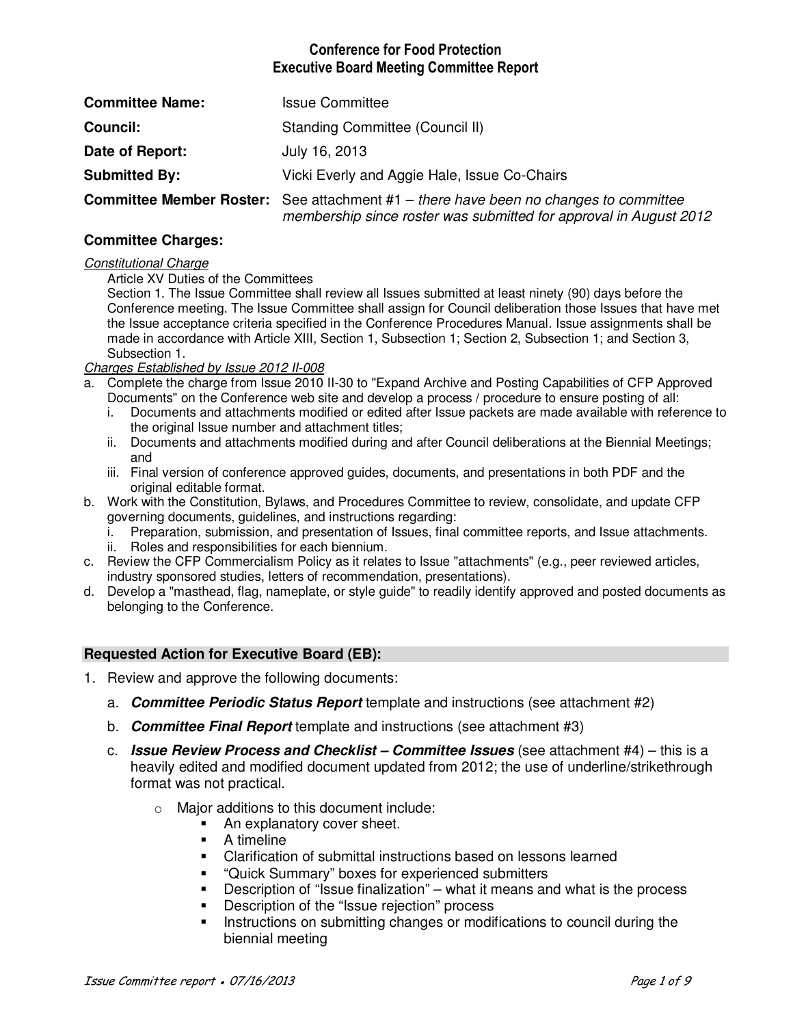# **Conference for Food Protection Executive Board Meeting Committee Report**

| <b>Committee Name:</b> | <b>Issue Committee</b>                                                                                                                                             |  |  |  |
|------------------------|--------------------------------------------------------------------------------------------------------------------------------------------------------------------|--|--|--|
| <b>Council:</b>        | Standing Committee (Council II)                                                                                                                                    |  |  |  |
| Date of Report:        | July 16, 2013                                                                                                                                                      |  |  |  |
| <b>Submitted By:</b>   | Vicki Everly and Aggie Hale, Issue Co-Chairs                                                                                                                       |  |  |  |
|                        | <b>Committee Member Roster:</b> See attachment $#1$ – there have been no changes to committee<br>membership since roster was submitted for approval in August 2012 |  |  |  |

## **Committee Charges:**

#### *Constitutional Charge*

Article XV Duties of the Committees

Section 1. The Issue Committee shall review all Issues submitted at least ninety (90) days before the Conference meeting. The Issue Committee shall assign for Council deliberation those Issues that have met the Issue acceptance criteria specified in the Conference Procedures Manual. Issue assignments shall be made in accordance with Article XIII, Section 1, Subsection 1; Section 2, Subsection 1; and Section 3, Subsection 1.

### *Charges Established by Issue 2012 II-008*

- a. Complete the charge from Issue 2010 II-30 to "Expand Archive and Posting Capabilities of CFP Approved
	- Documents" on the Conference web site and develop a process / procedure to ensure posting of all:
	- i. Documents and attachments modified or edited after Issue packets are made available with reference to the original Issue number and attachment titles;
	- ii. Documents and attachments modified during and after Council deliberations at the Biennial Meetings; and
	- iii. Final version of conference approved guides, documents, and presentations in both PDF and the original editable format.
- b. Work with the Constitution, Bylaws, and Procedures Committee to review, consolidate, and update CFP governing documents, guidelines, and instructions regarding:
	- i. Preparation, submission, and presentation of Issues, final committee reports, and Issue attachments.
	- ii. Roles and responsibilities for each biennium.
- c. Review the CFP Commercialism Policy as it relates to Issue "attachments" (e.g., peer reviewed articles, industry sponsored studies, letters of recommendation, presentations).
- d. Develop a "masthead, flag, nameplate, or style guide" to readily identify approved and posted documents as belonging to the Conference.

### **Requested Action for Executive Board (EB):**

- 1. Review and approve the following documents:
	- a. **Committee Periodic Status Report** template and instructions (see attachment #2)
	- b. **Committee Final Report** template and instructions (see attachment #3)
	- c. **Issue Review Process and Checklist Committee Issues** (see attachment #4) this is a heavily edited and modified document updated from 2012; the use of underline/strikethrough format was not practical.
		- o Major additions to this document include:
			- An explanatory cover sheet.
			- **A** timeline
			- Clarification of submittal instructions based on lessons learned
			- "Quick Summary" boxes for experienced submitters
			- Description of "Issue finalization" what it means and what is the process
			- **Description of the "Issue rejection" process**
			- Instructions on submitting changes or modifications to council during the biennial meeting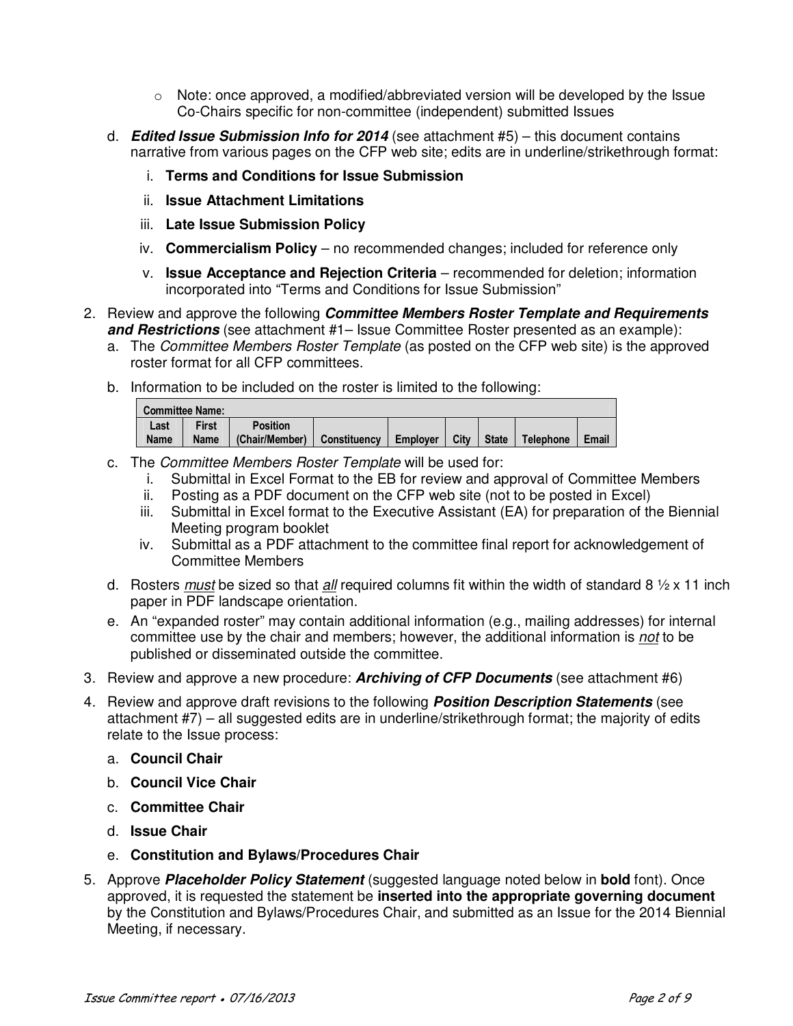- $\circ$  Note: once approved, a modified/abbreviated version will be developed by the Issue Co-Chairs specific for non-committee (independent) submitted Issues
- d. **Edited Issue Submission Info for 2014** (see attachment #5) this document contains narrative from various pages on the CFP web site; edits are in underline/strikethrough format:
	- i. **Terms and Conditions for Issue Submission**
	- ii. **Issue Attachment Limitations**
	- iii. **Late Issue Submission Policy**
	- iv. **Commercialism Policy** no recommended changes; included for reference only
	- v. **Issue Acceptance and Rejection Criteria** recommended for deletion; information incorporated into "Terms and Conditions for Issue Submission"
- 2. Review and approve the following **Committee Members Roster Template and Requirements and Restrictions** (see attachment #1– Issue Committee Roster presented as an example):
	- a. The *Committee Members Roster Template* (as posted on the CFP web site) is the approved roster format for all CFP committees.
	- b. Information to be included on the roster is limited to the following:

| <b>Committee Name:</b> |             |                 |              |          |      |              |                  |       |
|------------------------|-------------|-----------------|--------------|----------|------|--------------|------------------|-------|
| Last                   | First       | <b>Position</b> |              |          |      |              |                  |       |
| <b>Name</b>            | <b>Name</b> | (Chair/Member)  | Constituency | Emplover | City | <b>State</b> | <b>Telephone</b> | Email |

- c. The *Committee Members Roster Template* will be used for:
	- i. Submittal in Excel Format to the EB for review and approval of Committee Members
	- ii. Posting as a PDF document on the CFP web site (not to be posted in Excel)
	- iii. Submittal in Excel format to the Executive Assistant (EA) for preparation of the Biennial Meeting program booklet
	- iv. Submittal as a PDF attachment to the committee final report for acknowledgement of Committee Members
- d. Rosters *must* be sized so that *all* required columns fit within the width of standard 8 ½ x 11 inch paper in PDF landscape orientation.
- e. An "expanded roster" may contain additional information (e.g., mailing addresses) for internal committee use by the chair and members; however, the additional information is *not* to be published or disseminated outside the committee.
- 3. Review and approve a new procedure: **Archiving of CFP Documents** (see attachment #6)
- 4. Review and approve draft revisions to the following **Position Description Statements** (see attachment #7) – all suggested edits are in underline/strikethrough format; the majority of edits relate to the Issue process:
	- a. **Council Chair**
	- b. **Council Vice Chair**
	- c. **Committee Chair**
	- d. **Issue Chair**
	- e. **Constitution and Bylaws/Procedures Chair**
- 5. Approve **Placeholder Policy Statement** (suggested language noted below in **bold** font). Once approved, it is requested the statement be **inserted into the appropriate governing document** by the Constitution and Bylaws/Procedures Chair, and submitted as an Issue for the 2014 Biennial Meeting, if necessary.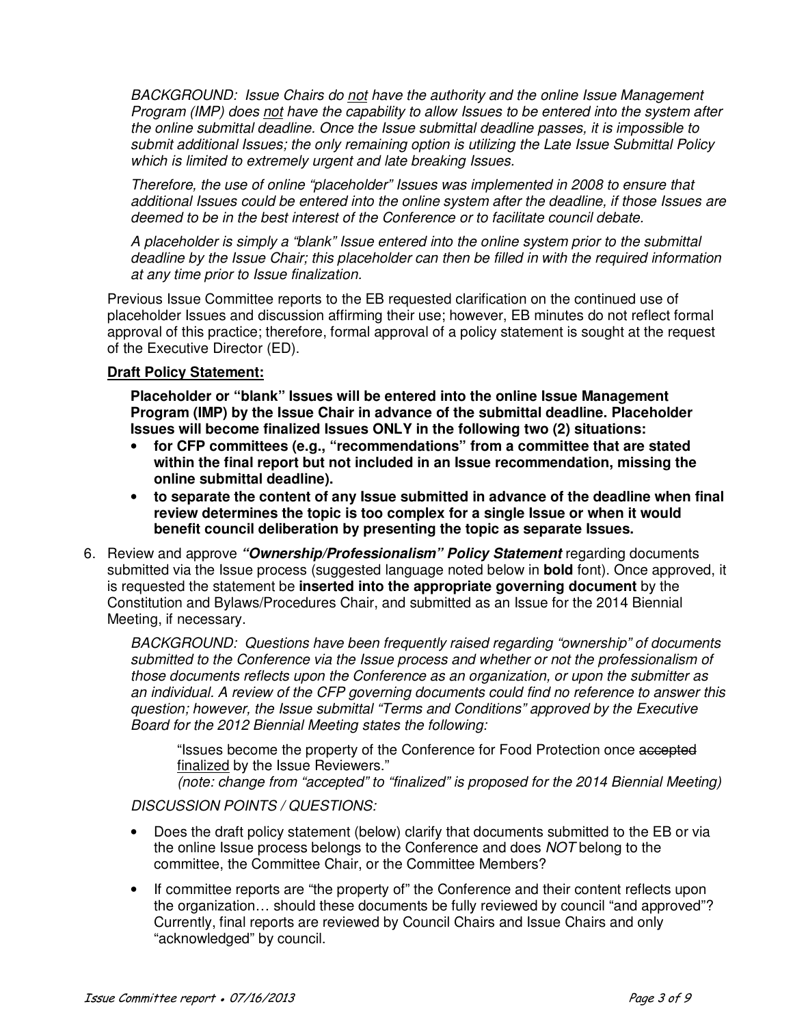*BACKGROUND: Issue Chairs do not have the authority and the online Issue Management Program (IMP) does not have the capability to allow Issues to be entered into the system after the online submittal deadline. Once the Issue submittal deadline passes, it is impossible to submit additional Issues; the only remaining option is utilizing the Late Issue Submittal Policy which is limited to extremely urgent and late breaking Issues.* 

*Therefore, the use of online "placeholder" Issues was implemented in 2008 to ensure that additional Issues could be entered into the online system after the deadline, if those Issues are deemed to be in the best interest of the Conference or to facilitate council debate.* 

*A placeholder is simply a "blank" Issue entered into the online system prior to the submittal deadline by the Issue Chair; this placeholder can then be filled in with the required information at any time prior to Issue finalization.* 

Previous Issue Committee reports to the EB requested clarification on the continued use of placeholder Issues and discussion affirming their use; however, EB minutes do not reflect formal approval of this practice; therefore, formal approval of a policy statement is sought at the request of the Executive Director (ED).

## **Draft Policy Statement:**

**Placeholder or "blank" Issues will be entered into the online Issue Management Program (IMP) by the Issue Chair in advance of the submittal deadline. Placeholder Issues will become finalized Issues ONLY in the following two (2) situations:** 

- **for CFP committees (e.g., "recommendations" from a committee that are stated within the final report but not included in an Issue recommendation, missing the online submittal deadline).**
- **to separate the content of any Issue submitted in advance of the deadline when final review determines the topic is too complex for a single Issue or when it would benefit council deliberation by presenting the topic as separate Issues.**
- 6. Review and approve **"Ownership/Professionalism" Policy Statement** regarding documents submitted via the Issue process (suggested language noted below in **bold** font). Once approved, it is requested the statement be **inserted into the appropriate governing document** by the Constitution and Bylaws/Procedures Chair, and submitted as an Issue for the 2014 Biennial Meeting, if necessary.

*BACKGROUND: Questions have been frequently raised regarding "ownership" of documents submitted to the Conference via the Issue process and whether or not the professionalism of those documents reflects upon the Conference as an organization, or upon the submitter as an individual. A review of the CFP governing documents could find no reference to answer this question; however, the Issue submittal "Terms and Conditions" approved by the Executive Board for the 2012 Biennial Meeting states the following:* 

"Issues become the property of the Conference for Food Protection once accepted finalized by the Issue Reviewers."

*(note: change from "accepted" to "finalized" is proposed for the 2014 Biennial Meeting)* 

# *DISCUSSION POINTS / QUESTIONS:*

- Does the draft policy statement (below) clarify that documents submitted to the EB or via the online Issue process belongs to the Conference and does *NOT* belong to the committee, the Committee Chair, or the Committee Members?
- If committee reports are "the property of" the Conference and their content reflects upon the organization… should these documents be fully reviewed by council "and approved"? Currently, final reports are reviewed by Council Chairs and Issue Chairs and only "acknowledged" by council.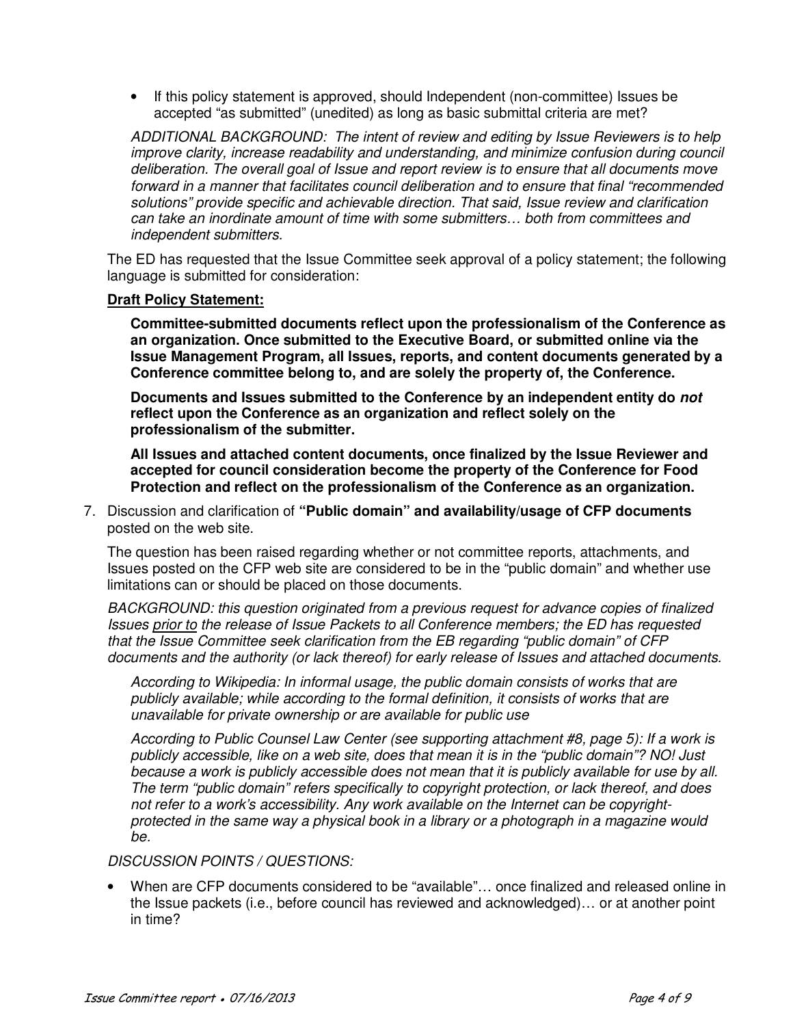• If this policy statement is approved, should Independent (non-committee) Issues be accepted "as submitted" (unedited) as long as basic submittal criteria are met?

*ADDITIONAL BACKGROUND: The intent of review and editing by Issue Reviewers is to help improve clarity, increase readability and understanding, and minimize confusion during council deliberation. The overall goal of Issue and report review is to ensure that all documents move forward in a manner that facilitates council deliberation and to ensure that final "recommended solutions" provide specific and achievable direction. That said, Issue review and clarification can take an inordinate amount of time with some submitters… both from committees and independent submitters.* 

The ED has requested that the Issue Committee seek approval of a policy statement; the following language is submitted for consideration:

### **Draft Policy Statement:**

**Committee-submitted documents reflect upon the professionalism of the Conference as an organization. Once submitted to the Executive Board, or submitted online via the Issue Management Program, all Issues, reports, and content documents generated by a Conference committee belong to, and are solely the property of, the Conference.** 

**Documents and Issues submitted to the Conference by an independent entity do not reflect upon the Conference as an organization and reflect solely on the professionalism of the submitter.** 

**All Issues and attached content documents, once finalized by the Issue Reviewer and accepted for council consideration become the property of the Conference for Food Protection and reflect on the professionalism of the Conference as an organization.** 

7. Discussion and clarification of **"Public domain" and availability/usage of CFP documents**  posted on the web site.

The question has been raised regarding whether or not committee reports, attachments, and Issues posted on the CFP web site are considered to be in the "public domain" and whether use limitations can or should be placed on those documents.

*BACKGROUND: this question originated from a previous request for advance copies of finalized Issues prior to the release of Issue Packets to all Conference members; the ED has requested that the Issue Committee seek clarification from the EB regarding "public domain" of CFP documents and the authority (or lack thereof) for early release of Issues and attached documents.* 

*According to Wikipedia: In informal usage, the public domain consists of works that are publicly available; while according to the formal definition, it consists of works that are unavailable for private ownership or are available for public use* 

*According to Public Counsel Law Center (see supporting attachment #8, page 5): If a work is publicly accessible, like on a web site, does that mean it is in the "public domain"? NO! Just because a work is publicly accessible does not mean that it is publicly available for use by all. The term "public domain" refers specifically to copyright protection, or lack thereof, and does not refer to a work's accessibility. Any work available on the Internet can be copyrightprotected in the same way a physical book in a library or a photograph in a magazine would be.* 

## *DISCUSSION POINTS / QUESTIONS:*

• When are CFP documents considered to be "available"… once finalized and released online in the Issue packets (i.e., before council has reviewed and acknowledged)… or at another point in time?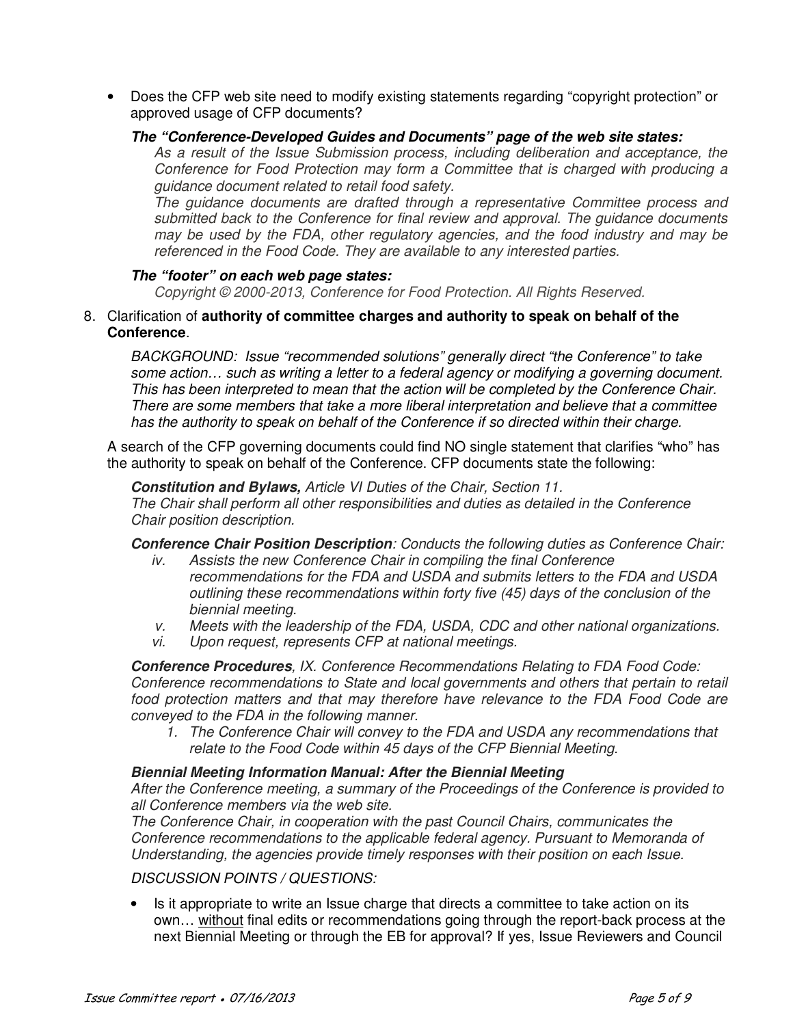• Does the CFP web site need to modify existing statements regarding "copyright protection" or approved usage of CFP documents?

## **The "Conference-Developed Guides and Documents" page of the web site states:**

*As a result of the Issue Submission process, including deliberation and acceptance, the Conference for Food Protection may form a Committee that is charged with producing a guidance document related to retail food safety.* 

*The guidance documents are drafted through a representative Committee process and submitted back to the Conference for final review and approval. The guidance documents may be used by the FDA, other regulatory agencies, and the food industry and may be referenced in the Food Code. They are available to any interested parties.* 

### **The "footer" on each web page states:**

*Copyright © 2000-2013, Conference for Food Protection. All Rights Reserved.*

8. Clarification of **authority of committee charges and authority to speak on behalf of the Conference**.

*BACKGROUND: Issue "recommended solutions" generally direct "the Conference" to take some action… such as writing a letter to a federal agency or modifying a governing document. This has been interpreted to mean that the action will be completed by the Conference Chair. There are some members that take a more liberal interpretation and believe that a committee has the authority to speak on behalf of the Conference if so directed within their charge.* 

A search of the CFP governing documents could find NO single statement that clarifies "who" has the authority to speak on behalf of the Conference. CFP documents state the following:

**Constitution and Bylaws,** *Article VI Duties of the Chair, Section 11. The Chair shall perform all other responsibilities and duties as detailed in the Conference Chair position description.* 

**Conference Chair Position Description***: Conducts the following duties as Conference Chair:* 

- *iv. Assists the new Conference Chair in compiling the final Conference recommendations for the FDA and USDA and submits letters to the FDA and USDA outlining these recommendations within forty five (45) days of the conclusion of the biennial meeting.*
- *v. Meets with the leadership of the FDA, USDA, CDC and other national organizations.*
- *vi. Upon request, represents CFP at national meetings.*

**Conference Procedures***, IX. Conference Recommendations Relating to FDA Food Code: Conference recommendations to State and local governments and others that pertain to retail food protection matters and that may therefore have relevance to the FDA Food Code are conveyed to the FDA in the following manner.* 

*1. The Conference Chair will convey to the FDA and USDA any recommendations that relate to the Food Code within 45 days of the CFP Biennial Meeting.* 

### **Biennial Meeting Information Manual: After the Biennial Meeting**

*After the Conference meeting, a summary of the Proceedings of the Conference is provided to all Conference members via the web site.* 

*The Conference Chair, in cooperation with the past Council Chairs, communicates the Conference recommendations to the applicable federal agency. Pursuant to Memoranda of Understanding, the agencies provide timely responses with their position on each Issue.* 

### *DISCUSSION POINTS / QUESTIONS:*

• Is it appropriate to write an Issue charge that directs a committee to take action on its own... without final edits or recommendations going through the report-back process at the next Biennial Meeting or through the EB for approval? If yes, Issue Reviewers and Council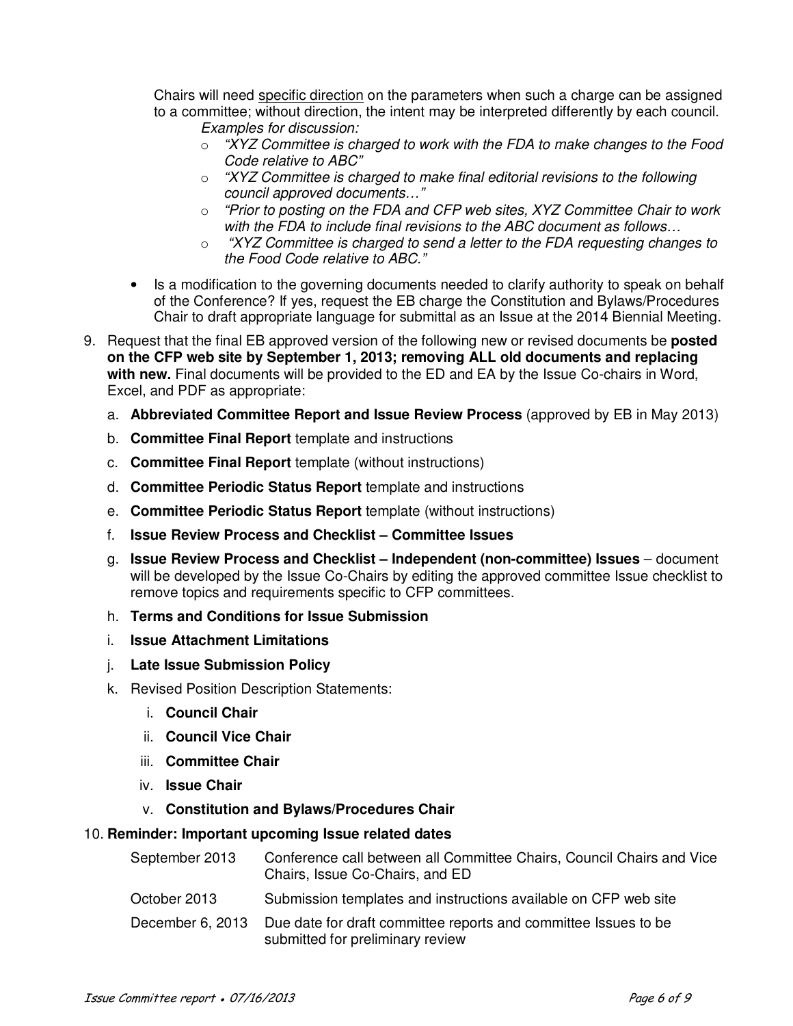Chairs will need specific direction on the parameters when such a charge can be assigned to a committee; without direction, the intent may be interpreted differently by each council. *Examples for discussion:* 

- o *"XYZ Committee is charged to work with the FDA to make changes to the Food Code relative to ABC"*
- o *"XYZ Committee is charged to make final editorial revisions to the following council approved documents…"*
- o *"Prior to posting on the FDA and CFP web sites, XYZ Committee Chair to work with the FDA to include final revisions to the ABC document as follows…*
- o *"XYZ Committee is charged to send a letter to the FDA requesting changes to the Food Code relative to ABC."*
- Is a modification to the governing documents needed to clarify authority to speak on behalf of the Conference? If yes, request the EB charge the Constitution and Bylaws/Procedures Chair to draft appropriate language for submittal as an Issue at the 2014 Biennial Meeting.
- 9. Request that the final EB approved version of the following new or revised documents be **posted on the CFP web site by September 1, 2013; removing ALL old documents and replacing with new.** Final documents will be provided to the ED and EA by the Issue Co-chairs in Word, Excel, and PDF as appropriate:
	- a. **Abbreviated Committee Report and Issue Review Process** (approved by EB in May 2013)
	- b. **Committee Final Report** template and instructions
	- c. **Committee Final Report** template (without instructions)
	- d. **Committee Periodic Status Report** template and instructions
	- e. **Committee Periodic Status Report** template (without instructions)
	- f. **Issue Review Process and Checklist Committee Issues**
	- g. **Issue Review Process and Checklist Independent (non-committee) Issues**  document will be developed by the Issue Co-Chairs by editing the approved committee Issue checklist to remove topics and requirements specific to CFP committees.
	- h. **Terms and Conditions for Issue Submission**
	- i. **Issue Attachment Limitations**
	- j. **Late Issue Submission Policy**
	- k. Revised Position Description Statements:
		- i. **Council Chair**
		- ii. **Council Vice Chair**
		- iii. **Committee Chair**
		- iv. **Issue Chair**
		- v. **Constitution and Bylaws/Procedures Chair**

## 10. **Reminder: Important upcoming Issue related dates**

| September 2013   | Conference call between all Committee Chairs, Council Chairs and Vice<br>Chairs, Issue Co-Chairs, and ED |
|------------------|----------------------------------------------------------------------------------------------------------|
| October 2013     | Submission templates and instructions available on CFP web site                                          |
| December 6, 2013 | Due date for draft committee reports and committee Issues to be<br>submitted for preliminary review      |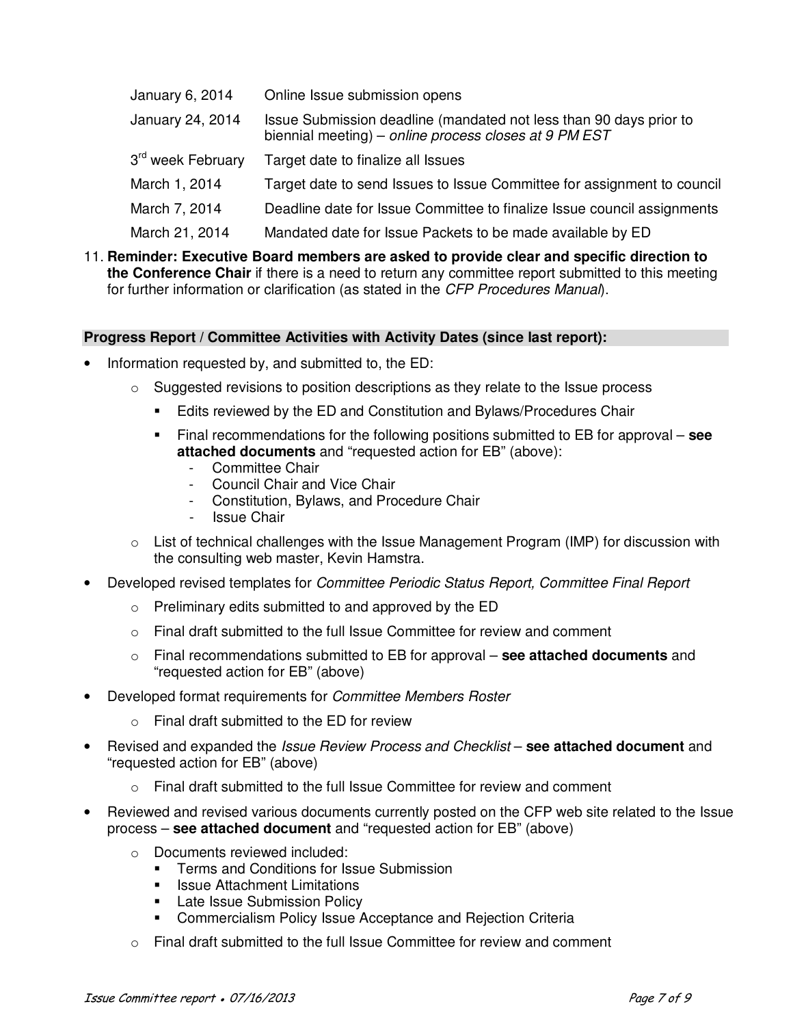| January 6, 2014               | Online Issue submission opens                                                                                               |
|-------------------------------|-----------------------------------------------------------------------------------------------------------------------------|
| January 24, 2014              | Issue Submission deadline (mandated not less than 90 days prior to<br>biennial meeting) – online process closes at 9 PM EST |
| 3 <sup>rd</sup> week February | Target date to finalize all Issues                                                                                          |
| March 1, 2014                 | Target date to send Issues to Issue Committee for assignment to council                                                     |
| March 7, 2014                 | Deadline date for Issue Committee to finalize Issue council assignments                                                     |
| March 21, 2014                | Mandated date for Issue Packets to be made available by ED                                                                  |

11. **Reminder: Executive Board members are asked to provide clear and specific direction to the Conference Chair** if there is a need to return any committee report submitted to this meeting for further information or clarification (as stated in the *CFP Procedures Manual*).

## **Progress Report / Committee Activities with Activity Dates (since last report):**

- Information requested by, and submitted to, the ED:
	- $\circ$  Suggested revisions to position descriptions as they relate to the Issue process
		- **Edits reviewed by the ED and Constitution and Bylaws/Procedures Chair**
		- Final recommendations for the following positions submitted to EB for approval **see attached documents** and "requested action for EB" (above):
			- Committee Chair
			- Council Chair and Vice Chair
			- Constitution, Bylaws, and Procedure Chair
			- Issue Chair
	- $\circ$  List of technical challenges with the Issue Management Program (IMP) for discussion with the consulting web master, Kevin Hamstra.
- Developed revised templates for *Committee Periodic Status Report, Committee Final Report*
	- o Preliminary edits submitted to and approved by the ED
	- $\circ$  Final draft submitted to the full Issue Committee for review and comment
	- o Final recommendations submitted to EB for approval **see attached documents** and "requested action for EB" (above)
- Developed format requirements for *Committee Members Roster* 
	- o Final draft submitted to the ED for review
- Revised and expanded the *Issue Review Process and Checklist* **see attached document** and "requested action for EB" (above)
	- $\circ$  Final draft submitted to the full Issue Committee for review and comment
- Reviewed and revised various documents currently posted on the CFP web site related to the Issue process – **see attached document** and "requested action for EB" (above)
	- o Documents reviewed included:
		- **Terms and Conditions for Issue Submission**
		- Issue Attachment Limitations
		- Late Issue Submission Policy
		- Commercialism Policy Issue Acceptance and Rejection Criteria
	- $\circ$  Final draft submitted to the full Issue Committee for review and comment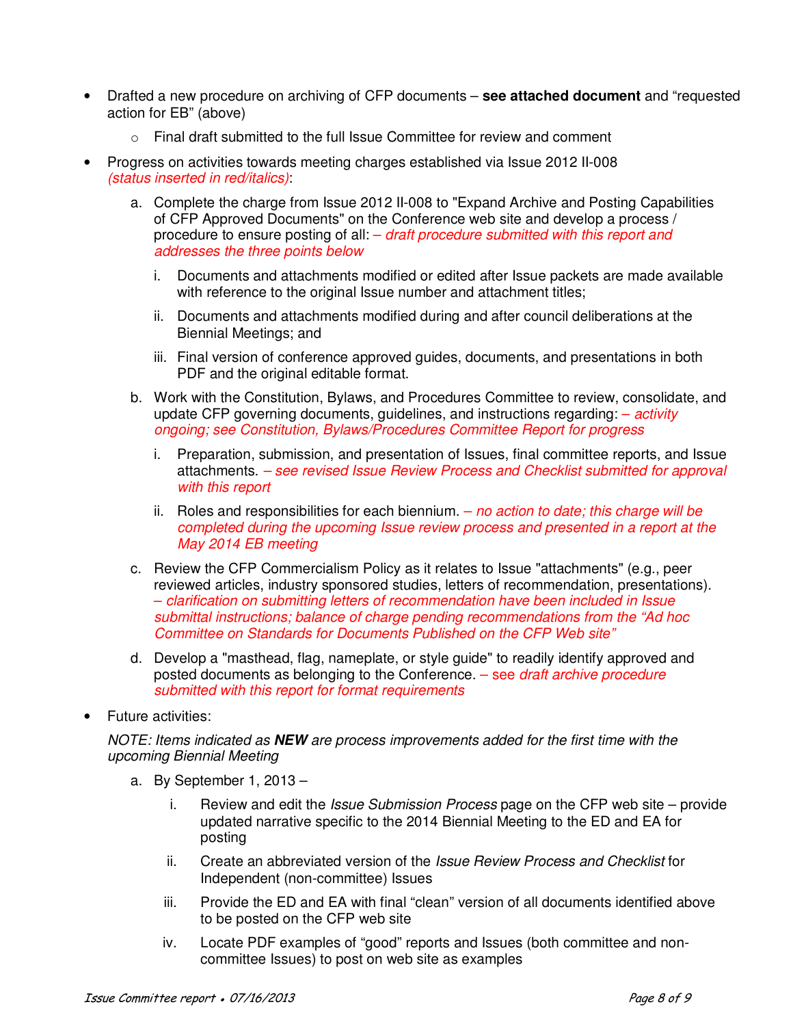- Drafted a new procedure on archiving of CFP documents **see attached document** and "requested action for EB" (above)
	- $\circ$  Final draft submitted to the full Issue Committee for review and comment
- Progress on activities towards meeting charges established via Issue 2012 II-008 *(status inserted in red/italics)*:
	- a. Complete the charge from Issue 2012 II-008 to "Expand Archive and Posting Capabilities of CFP Approved Documents" on the Conference web site and develop a process / procedure to ensure posting of all: – *draft procedure submitted with this report and addresses the three points below* 
		- i. Documents and attachments modified or edited after Issue packets are made available with reference to the original Issue number and attachment titles;
		- ii. Documents and attachments modified during and after council deliberations at the Biennial Meetings; and
		- iii. Final version of conference approved guides, documents, and presentations in both PDF and the original editable format.
	- b. Work with the Constitution, Bylaws, and Procedures Committee to review, consolidate, and update CFP governing documents, guidelines, and instructions regarding: – *activity ongoing; see Constitution, Bylaws/Procedures Committee Report for progress* 
		- i. Preparation, submission, and presentation of Issues, final committee reports, and Issue attachments. *– see revised Issue Review Process and Checklist submitted for approval with this report*
		- ii. Roles and responsibilities for each biennium. *no action to date; this charge will be completed during the upcoming Issue review process and presented in a report at the May 2014 EB meeting*
	- c. Review the CFP Commercialism Policy as it relates to Issue "attachments" (e.g., peer reviewed articles, industry sponsored studies, letters of recommendation, presentations). – *clarification on submitting letters of recommendation have been included in Issue submittal instructions; balance of charge pending recommendations from the "Ad hoc Committee on Standards for Documents Published on the CFP Web site"*
	- d. Develop a "masthead, flag, nameplate, or style guide" to readily identify approved and posted documents as belonging to the Conference. – see *draft archive procedure submitted with this report for format requirements*
- Future activities:

*NOTE: Items indicated as* **NEW** *are process improvements added for the first time with the upcoming Biennial Meeting* 

- a. By September 1, 2013
	- i. Review and edit the *Issue Submission Process* page on the CFP web site provide updated narrative specific to the 2014 Biennial Meeting to the ED and EA for posting
	- ii. Create an abbreviated version of the *Issue Review Process and Checklist* for Independent (non-committee) Issues
	- iii. Provide the ED and EA with final "clean" version of all documents identified above to be posted on the CFP web site
	- iv. Locate PDF examples of "good" reports and Issues (both committee and noncommittee Issues) to post on web site as examples